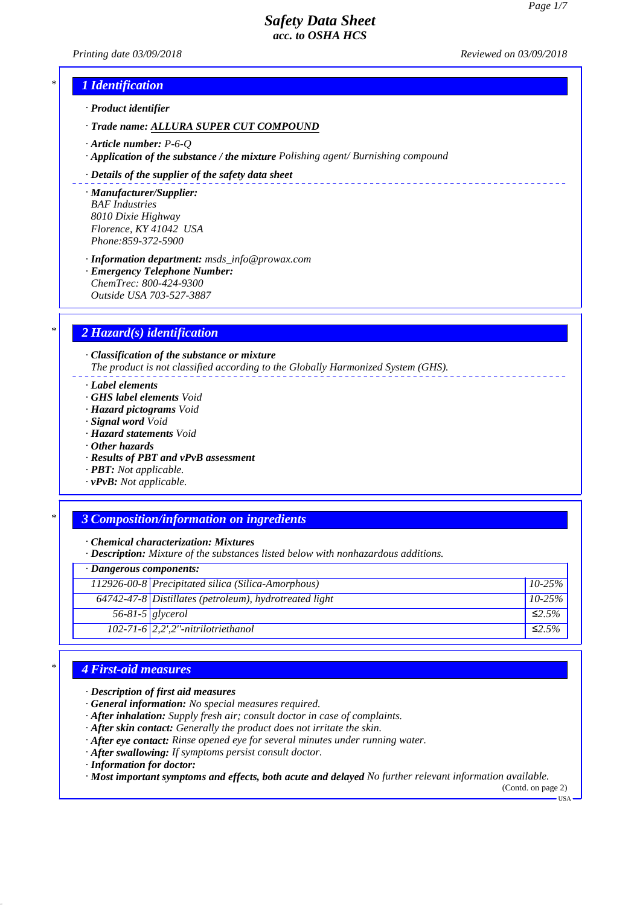*Printing date 03/09/2018 Reviewed on 03/09/2018*

\_\_\_\_\_\_\_\_\_\_\_\_\_\_\_\_\_\_\_\_\_\_\_\_\_\_\_\_\_\_\_\_\_\_\_

## *\* 1 Identification*

*· Product identifier*

*· Trade name: ALLURA SUPER CUT COMPOUND*

- *· Article number: P-6-Q*
- *· Application of the substance / the mixture Polishing agent/ Burnishing compound*

#### *· Details of the supplier of the safety data sheet*

*· Manufacturer/Supplier: BAF Industries 8010 Dixie Highway Florence, KY 41042 USA Phone:859-372-5900*

*· Information department: msds\_info@prowax.com · Emergency Telephone Number:*

*ChemTrec: 800-424-9300 Outside USA 703-527-3887*

## *\* 2 Hazard(s) identification*

*· Classification of the substance or mixture The product is not classified according to the Globally Harmonized System (GHS).*

*· Label elements*

- *· GHS label elements Void*
- *· Hazard pictograms Void*
- *· Signal word Void*
- *· Hazard statements Void*
- *· Other hazards*
- *· Results of PBT and vPvB assessment*
- *· PBT: Not applicable.*
- *· vPvB: Not applicable.*

### *\* 3 Composition/information on ingredients*

*· Chemical characterization: Mixtures*

*· Description: Mixture of the substances listed below with nonhazardous additions.*

### *· Dangerous components:*

|                    | 112926-00-8 Precipitated silica (Silica-Amorphous)       | $10-25%$     |
|--------------------|----------------------------------------------------------|--------------|
|                    | $64742-47-8$ Distillates (petroleum), hydrotreated light | $10-25%$     |
| $56-81-5$ glycerol |                                                          | ≤2.5%        |
|                    | $102-71-6$ 2,2',2"-nitrilotriethanol                     | $\leq 2.5\%$ |

### *\* 4 First-aid measures*

### *· Description of first aid measures*

*· General information: No special measures required.*

*· After inhalation: Supply fresh air; consult doctor in case of complaints.*

- *· After skin contact: Generally the product does not irritate the skin.*
- *· After eye contact: Rinse opened eye for several minutes under running water.*
- *· After swallowing: If symptoms persist consult doctor.*
- *· Information for doctor:*

*· Most important symptoms and effects, both acute and delayed No further relevant information available.*

(Contd. on page 2)  $-<sub>USA</sub>$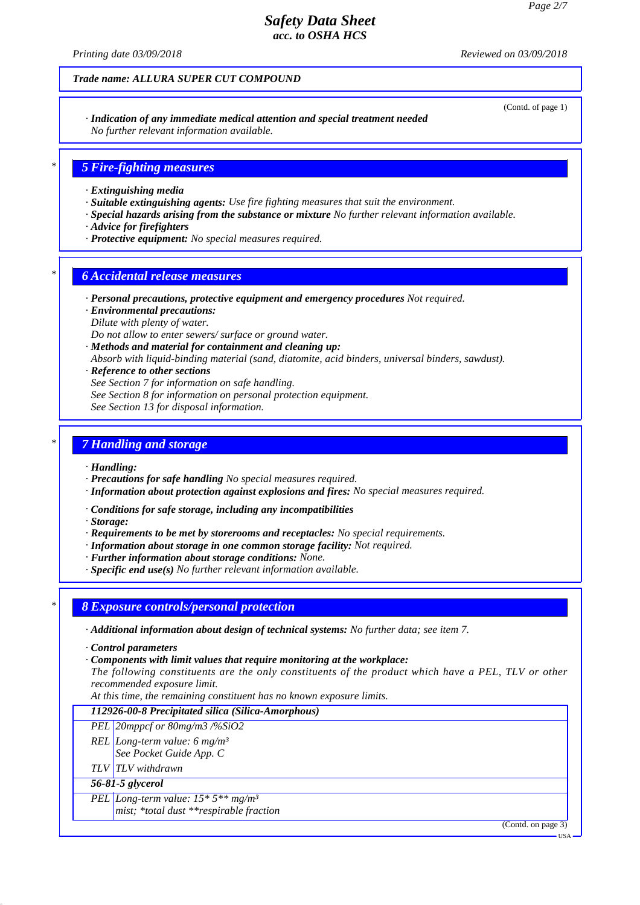*Printing date 03/09/2018 Reviewed on 03/09/2018*

*Trade name: ALLURA SUPER CUT COMPOUND*

(Contd. of page 1)

#### *· Indication of any immediate medical attention and special treatment needed No further relevant information available.*

## *\* 5 Fire-fighting measures*

- *· Extinguishing media*
- *· Suitable extinguishing agents: Use fire fighting measures that suit the environment.*
- *· Special hazards arising from the substance or mixture No further relevant information available.*
- *· Advice for firefighters*
- *· Protective equipment: No special measures required.*

### *\* 6 Accidental release measures*

- *· Personal precautions, protective equipment and emergency procedures Not required.*
- *· Environmental precautions:*
- *Dilute with plenty of water.*

*Do not allow to enter sewers/ surface or ground water.*

- *· Methods and material for containment and cleaning up:*
- *Absorb with liquid-binding material (sand, diatomite, acid binders, universal binders, sawdust).*
- *· Reference to other sections*
- *See Section 7 for information on safe handling.*
- *See Section 8 for information on personal protection equipment.*

*See Section 13 for disposal information.*

## *\* 7 Handling and storage*

#### *· Handling:*

- *· Precautions for safe handling No special measures required.*
- *· Information about protection against explosions and fires: No special measures required.*
- *· Conditions for safe storage, including any incompatibilities*
- *· Storage:*
- *· Requirements to be met by storerooms and receptacles: No special requirements.*
- *· Information about storage in one common storage facility: Not required.*
- *· Further information about storage conditions: None.*
- *· Specific end use(s) No further relevant information available.*

### *\* 8 Exposure controls/personal protection*

- *· Additional information about design of technical systems: No further data; see item 7.*
- *· Control parameters*
- *· Components with limit values that require monitoring at the workplace:*
- *The following constituents are the only constituents of the product which have a PEL, TLV or other recommended exposure limit.*
- *At this time, the remaining constituent has no known exposure limits.*

### *112926-00-8 Precipitated silica (Silica-Amorphous)*

### *PEL 20mppcf or 80mg/m3 /%SiO2*

- *REL Long-term value: 6 mg/m³*
- *See Pocket Guide App. C*
- *TLV TLV withdrawn*

### *56-81-5 glycerol*

- *PEL Long-term value: 15\* 5\*\* mg/m³*
	- *mist; \*total dust \*\*respirable fraction*

(Contd. on page 3)

USA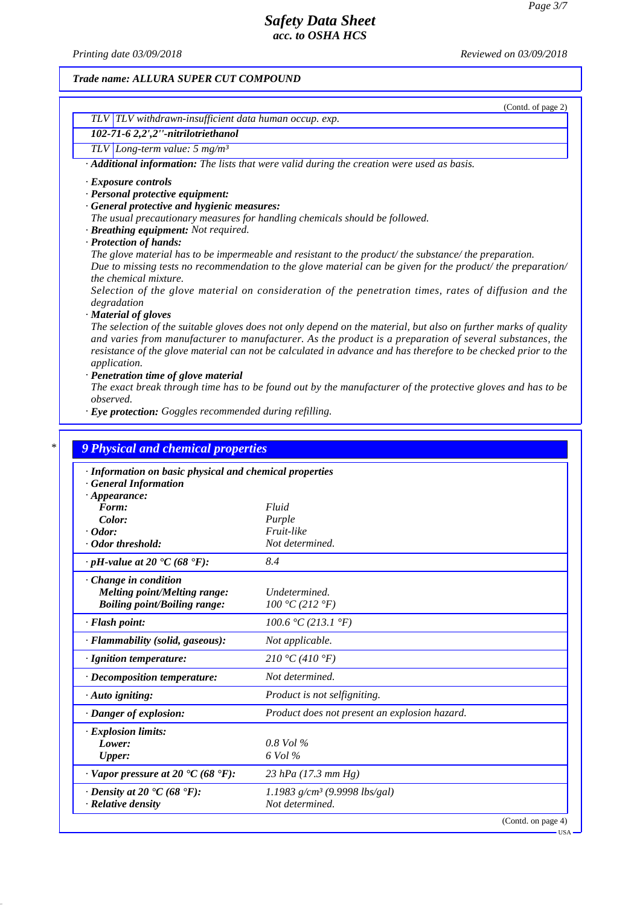*Printing date 03/09/2018 Reviewed on 03/09/2018*

(Contd. of page 2)

### *Trade name: ALLURA SUPER CUT COMPOUND*

| TLV TLV withdrawn-insufficient data human occup. exp.                                                    |
|----------------------------------------------------------------------------------------------------------|
| 102-71-6 2,2',2"-nitrilotriethanol                                                                       |
| TLV Long-term value: $5 \text{ mg/m}^3$                                                                  |
| $\cdot$ <b>Additional information:</b> The lists that were valid during the creation were used as basis. |
| $\cdot$ Exposure controls                                                                                |
| · Personal protective equipment:                                                                         |
| · General protective and hygienic measures:                                                              |
| The usual precautionary measures for handling chemicals should be followed.                              |
| · Breathing equipment: Not required.                                                                     |
| $D$ <i>untertian of hands</i>                                                                            |

*· Protection of hands:*

*The glove material has to be impermeable and resistant to the product/ the substance/ the preparation.*

*Due to missing tests no recommendation to the glove material can be given for the product/ the preparation/ the chemical mixture.*

*Selection of the glove material on consideration of the penetration times, rates of diffusion and the degradation*

*· Material of gloves*

*The selection of the suitable gloves does not only depend on the material, but also on further marks of quality and varies from manufacturer to manufacturer. As the product is a preparation of several substances, the resistance of the glove material can not be calculated in advance and has therefore to be checked prior to the application.*

*· Penetration time of glove material*

*The exact break through time has to be found out by the manufacturer of the protective gloves and has to be observed.*

*· Eye protection: Goggles recommended during refilling.*

| · Information on basic physical and chemical properties            |                                               |
|--------------------------------------------------------------------|-----------------------------------------------|
| · General Information<br>$\cdot$ Appearance:                       |                                               |
| Form:                                                              | Fluid                                         |
| Color:                                                             | Purple                                        |
| $\cdot$ Odor:                                                      | Fruit-like                                    |
| · Odor threshold:                                                  | Not determined.                               |
| $\cdot$ pH-value at 20 $\cdot$ C (68 $\cdot$ F):                   | 8.4                                           |
| $\cdot$ Change in condition                                        |                                               |
| <b>Melting point/Melting range:</b>                                | Undetermined.                                 |
| <b>Boiling point/Boiling range:</b>                                | 100 °C (212 °F)                               |
| · Flash point:                                                     | 100.6 °C (213.1 °F)                           |
| · Flammability (solid, gaseous):                                   | Not applicable.                               |
| · Ignition temperature:                                            | 210 °C (410 °F)                               |
| $\cdot$ Decomposition temperature:                                 | Not determined.                               |
| $\cdot$ Auto igniting:                                             | Product is not selfigniting.                  |
| · Danger of explosion:                                             | Product does not present an explosion hazard. |
| · Explosion limits:                                                |                                               |
| Lower:                                                             | $0.8$ Vol $\%$                                |
| <b>Upper:</b>                                                      | 6 Vol %                                       |
| $\cdot$ Vapor pressure at 20 $\textdegree$ C (68 $\textdegree$ F): | $23$ hPa (17.3 mm Hg)                         |
| $\cdot$ Density at 20 $\textdegree$ C (68 $\textdegree$ F):        | 1.1983 $g/cm^3$ (9.9998 lbs/gal)              |
| $\cdot$ Relative density                                           | Not determined.                               |

USA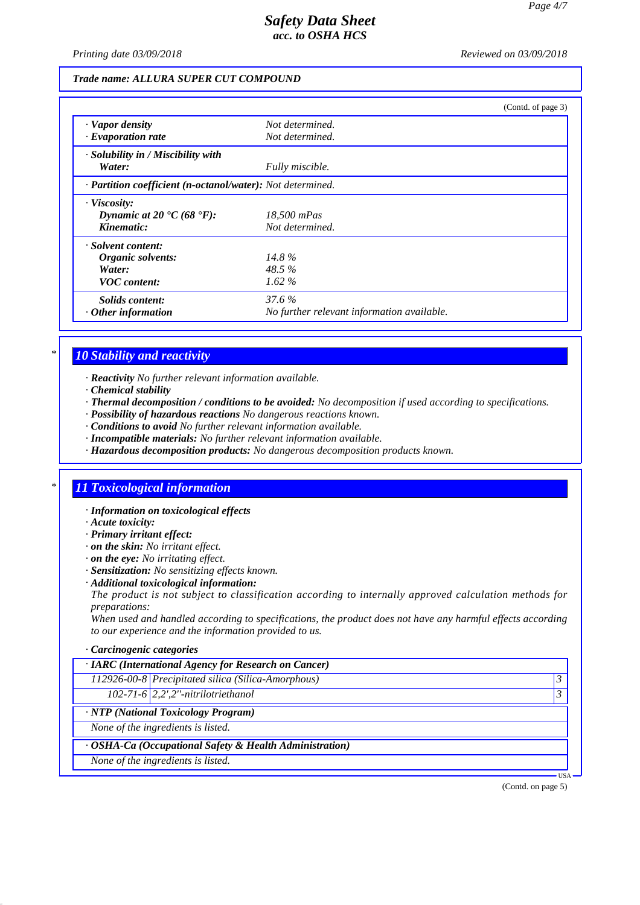*Printing date 03/09/2018 Reviewed on 03/09/2018*

#### *Trade name: ALLURA SUPER CUT COMPOUND*

|                                                            |                                            | (Contd. of page 3) |
|------------------------------------------------------------|--------------------------------------------|--------------------|
| · Vapor density                                            | Not determined.                            |                    |
| · Evaporation rate                                         | Not determined.                            |                    |
| · Solubility in / Miscibility with                         |                                            |                    |
| Water:                                                     | Fully miscible.                            |                    |
| · Partition coefficient (n-octanol/water): Not determined. |                                            |                    |
| $\cdot$ Viscosity:                                         |                                            |                    |
| Dynamic at 20 $\textdegree$ C (68 $\textdegree$ F):        | 18,500 mPas                                |                    |
| Kinematic:                                                 | Not determined.                            |                    |
| · Solvent content:                                         |                                            |                    |
| Organic solvents:                                          | $14.8\%$                                   |                    |
| Water:                                                     | $48.5\%$                                   |                    |
| <b>VOC</b> content:                                        | $1.62\%$                                   |                    |
| Solids content:                                            | 37.6 %                                     |                    |
| $\cdot$ Other information                                  | No further relevant information available. |                    |

## *\* 10 Stability and reactivity*

*· Reactivity No further relevant information available.*

- *· Chemical stability*
- *· Thermal decomposition / conditions to be avoided: No decomposition if used according to specifications.*
- *· Possibility of hazardous reactions No dangerous reactions known.*
- *· Conditions to avoid No further relevant information available.*
- *· Incompatible materials: No further relevant information available.*
- *· Hazardous decomposition products: No dangerous decomposition products known.*

### *\* 11 Toxicological information*

- *· Information on toxicological effects*
- *· Acute toxicity:*
- *· Primary irritant effect:*
- *· on the skin: No irritant effect.*
- *· on the eye: No irritating effect.*
- *· Sensitization: No sensitizing effects known.*
- *· Additional toxicological information:*

*The product is not subject to classification according to internally approved calculation methods for preparations:*

*When used and handled according to specifications, the product does not have any harmful effects according to our experience and the information provided to us.*

#### *· Carcinogenic categories*

| 3                  |
|--------------------|
|                    |
|                    |
|                    |
|                    |
|                    |
| USA ·              |
| (Contd. on page 5) |
|                    |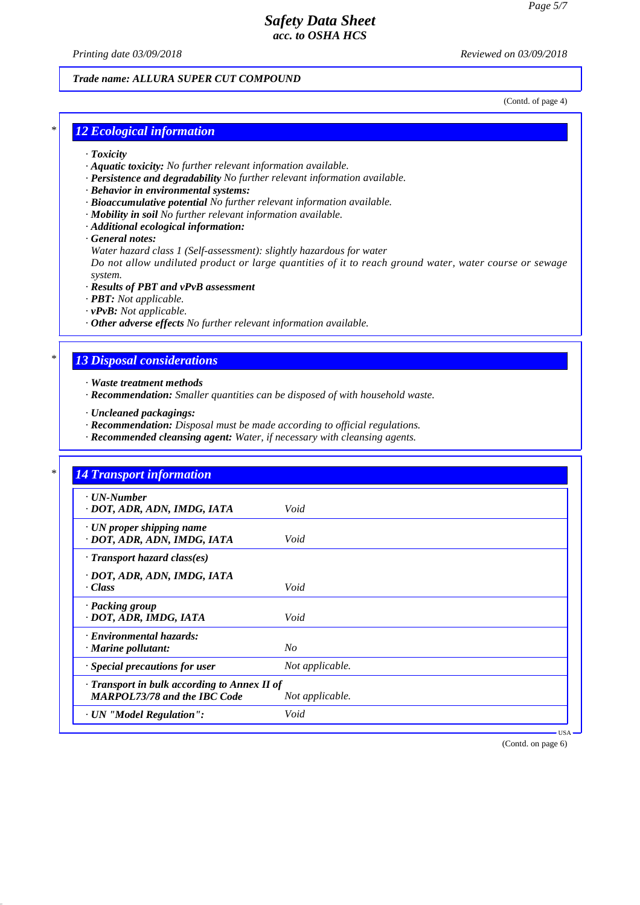*Printing date 03/09/2018 Reviewed on 03/09/2018*

### *Trade name: ALLURA SUPER CUT COMPOUND*

(Contd. of page 4)

### *\* 12 Ecological information*

- *· Toxicity*
- *· Aquatic toxicity: No further relevant information available.*
- *· Persistence and degradability No further relevant information available.*
- *· Behavior in environmental systems:*
- *· Bioaccumulative potential No further relevant information available.*
- *· Mobility in soil No further relevant information available.*
- *· Additional ecological information:*
- *· General notes:*

*Water hazard class 1 (Self-assessment): slightly hazardous for water*

*Do not allow undiluted product or large quantities of it to reach ground water, water course or sewage system.*

- *· Results of PBT and vPvB assessment*
- *· PBT: Not applicable.*
- *· vPvB: Not applicable.*
- *· Other adverse effects No further relevant information available.*

### *\* 13 Disposal considerations*

- *· Waste treatment methods*
- *· Recommendation: Smaller quantities can be disposed of with household waste.*
- *· Uncleaned packagings:*
- *· Recommendation: Disposal must be made according to official regulations.*
- *· Recommended cleansing agent: Water, if necessary with cleansing agents.*

| $\cdot$ UN-Number                                                                   |                 |
|-------------------------------------------------------------------------------------|-----------------|
| · DOT, ADR, ADN, IMDG, IATA                                                         | Void            |
| · UN proper shipping name<br>· DOT, ADR, ADN, IMDG, IATA                            | Void            |
| · Transport hazard class(es)                                                        |                 |
| · DOT, ADR, ADN, IMDG, IATA<br>$\cdot Class$                                        | Void            |
| · Packing group<br>· DOT, ADR, IMDG, IATA                                           | Void            |
| · Environmental hazards:<br>· Marine pollutant:                                     | N <sub>O</sub>  |
| · Special precautions for user                                                      | Not applicable. |
| · Transport in bulk according to Annex II of<br><b>MARPOL73/78 and the IBC Code</b> | Not applicable. |

(Contd. on page 6)

USA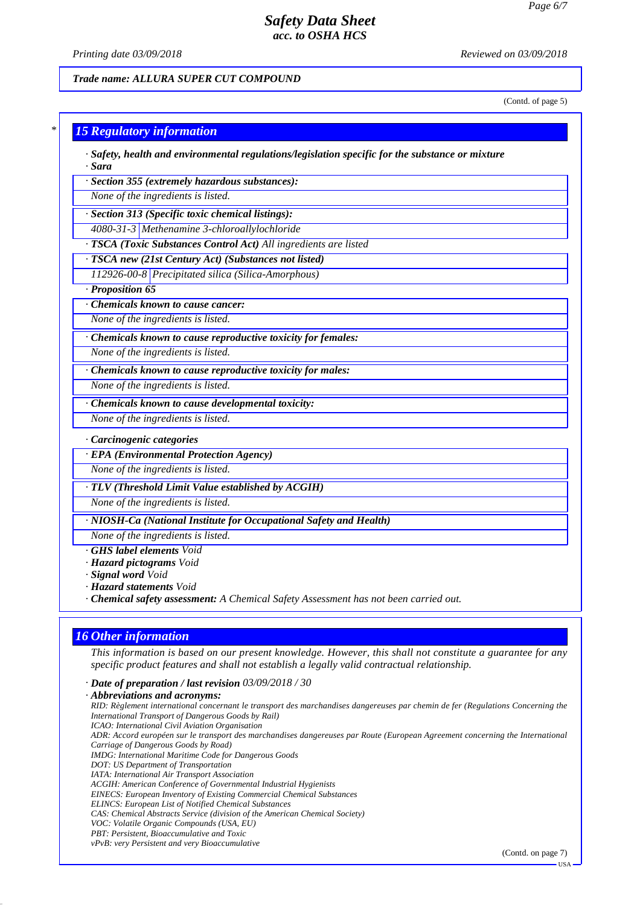*Printing date 03/09/2018 Reviewed on 03/09/2018*

### *Trade name: ALLURA SUPER CUT COMPOUND*

(Contd. of page 5)

# *\* 15 Regulatory information*

*· Safety, health and environmental regulations/legislation specific for the substance or mixture · Sara*

*· Section 355 (extremely hazardous substances):*

*None of the ingredients is listed.*

*· Section 313 (Specific toxic chemical listings):*

*4080-31-3 Methenamine 3-chloroallylochloride*

*· TSCA (Toxic Substances Control Act) All ingredients are listed*

*· TSCA new (21st Century Act) (Substances not listed)*

*112926-00-8 Precipitated silica (Silica-Amorphous)*

*· Proposition 65*

*· Chemicals known to cause cancer:*

*None of the ingredients is listed.*

*· Chemicals known to cause reproductive toxicity for females:*

*None of the ingredients is listed.*

*· Chemicals known to cause reproductive toxicity for males:*

*None of the ingredients is listed.*

*· Chemicals known to cause developmental toxicity:*

*None of the ingredients is listed.*

#### *· Carcinogenic categories*

*· EPA (Environmental Protection Agency)*

*None of the ingredients is listed.*

*· TLV (Threshold Limit Value established by ACGIH)*

*None of the ingredients is listed.*

*· NIOSH-Ca (National Institute for Occupational Safety and Health)*

*None of the ingredients is listed.*

- *· GHS label elements Void*
- *· Hazard pictograms Void*
- *· Signal word Void*
- *· Hazard statements Void*
- *· Chemical safety assessment: A Chemical Safety Assessment has not been carried out.*

### *16 Other information*

*This information is based on our present knowledge. However, this shall not constitute a guarantee for any specific product features and shall not establish a legally valid contractual relationship.*

*· Date of preparation / last revision 03/09/2018 / 30*

*· Abbreviations and acronyms: RID: Règlement international concernant le transport des marchandises dangereuses par chemin de fer (Regulations Concerning the International Transport of Dangerous Goods by Rail) ICAO: International Civil Aviation Organisation ADR: Accord européen sur le transport des marchandises dangereuses par Route (European Agreement concerning the International Carriage of Dangerous Goods by Road) IMDG: International Maritime Code for Dangerous Goods DOT: US Department of Transportation IATA: International Air Transport Association ACGIH: American Conference of Governmental Industrial Hygienists EINECS: European Inventory of Existing Commercial Chemical Substances ELINCS: European List of Notified Chemical Substances CAS: Chemical Abstracts Service (division of the American Chemical Society) VOC: Volatile Organic Compounds (USA, EU) PBT: Persistent, Bioaccumulative and Toxic vPvB: very Persistent and very Bioaccumulative*